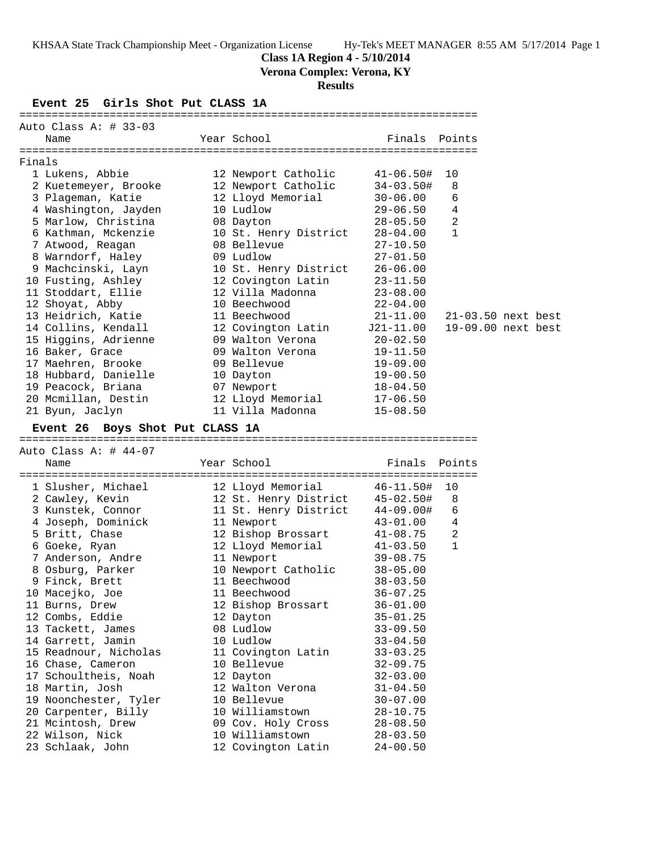## **Class 1A Region 4 - 5/10/2014**

**Verona Complex: Verona, KY**

# **Results**

**Event 25 Girls Shot Put CLASS 1A**

|        | Auto Class A: # 33-03           |  |                                 |                |                      |  |  |
|--------|---------------------------------|--|---------------------------------|----------------|----------------------|--|--|
|        | Name                            |  | Year School                     | Finals Points  |                      |  |  |
|        |                                 |  |                                 |                |                      |  |  |
| Finals |                                 |  |                                 |                |                      |  |  |
|        | 1 Lukens, Abbie                 |  | 12 Newport Catholic             | $41 - 06.50#$  | 10                   |  |  |
|        | 2 Kuetemeyer, Brooke            |  | 12 Newport Catholic             | $34 - 03.50$ # | 8                    |  |  |
|        | 3 Plageman, Katie               |  | 12 Lloyd Memorial               | $30 - 06.00$   | 6                    |  |  |
|        | 4 Washington, Jayden            |  | 10 Ludlow                       | 29-06.50       | 4                    |  |  |
|        | 5 Marlow, Christina             |  | 08 Dayton                       | $28 - 05.50$   | 2                    |  |  |
|        | 6 Kathman, Mckenzie             |  | 10 St. Henry District           | $28 - 04.00$   | $\mathbf{1}$         |  |  |
|        | 7 Atwood, Reagan                |  | 08 Bellevue                     | $27 - 10.50$   |                      |  |  |
|        | 8 Warndorf, Haley               |  | 09 Ludlow                       | $27 - 01.50$   |                      |  |  |
|        | 9 Machcinski, Layn              |  | 10 St. Henry District           | $26 - 06.00$   |                      |  |  |
|        | 10 Fusting, Ashley              |  | 12 Covington Latin              | $23 - 11.50$   |                      |  |  |
|        | 11 Stoddart, Ellie              |  | 12 Villa Madonna                | $23 - 08.00$   |                      |  |  |
|        | 12 Shoyat, Abby                 |  | 10 Beechwood                    | $22 - 04.00$   |                      |  |  |
|        | 13 Heidrich, Katie              |  | 11 Beechwood                    | 21-11.00       | $21-03.50$ next best |  |  |
|        | 14 Collins, Kendall             |  | 12 Covington Latin              | J21-11.00      | 19-09.00 next best   |  |  |
|        | 15 Higgins, Adrienne            |  | 09 Walton Verona                | 20-02.50       |                      |  |  |
|        | 16 Baker, Grace                 |  | 09 Walton Verona                | 19-11.50       |                      |  |  |
|        | 17 Maehren, Brooke              |  | 09 Bellevue                     | $19 - 09.00$   |                      |  |  |
|        | 18 Hubbard, Danielle            |  | 10 Dayton                       | $19 - 00.50$   |                      |  |  |
|        | 19 Peacock, Briana              |  | 07 Newport                      | 18-04.50       |                      |  |  |
|        | 20 Mcmillan, Destin             |  | 12 Lloyd Memorial               | 17-06.50       |                      |  |  |
|        | 21 Byun, Jaclyn                 |  | 11 Villa Madonna                | $15 - 08.50$   |                      |  |  |
|        |                                 |  |                                 |                |                      |  |  |
|        | Event 26 Boys Shot Put CLASS 1A |  |                                 |                |                      |  |  |
|        |                                 |  |                                 |                |                      |  |  |
|        |                                 |  |                                 |                |                      |  |  |
|        | Auto Class A: $\#$ 44-07        |  |                                 |                |                      |  |  |
|        | Name                            |  | Year School                     | Finals         | Points               |  |  |
|        |                                 |  |                                 |                |                      |  |  |
|        | 1 Slusher, Michael              |  | 12 Lloyd Memorial               | 46-11.50#      | 10                   |  |  |
|        | 2 Cawley, Kevin                 |  | 12 St. Henry District           | 45-02.50#      | 8                    |  |  |
|        | 3 Kunstek, Connor               |  | 11 St. Henry District 44-09.00# |                | 6                    |  |  |
|        | 4 Joseph, Dominick              |  | 11 Newport                      | 43-01.00       | 4                    |  |  |
|        | 5 Britt, Chase                  |  | 12 Bishop Brossart              | 41-08.75       | $\overline{a}$       |  |  |
|        | 6 Goeke, Ryan                   |  | 12 Lloyd Memorial               | 41-03.50       | 1                    |  |  |
|        | 7 Anderson, Andre               |  | 11 Newport                      | $39 - 08.75$   |                      |  |  |
|        | 8 Osburg, Parker                |  | 10 Newport Catholic             | $38 - 05.00$   |                      |  |  |
|        | 9 Finck, Brett                  |  | 11 Beechwood                    | $38 - 03.50$   |                      |  |  |
|        | 10 Macejko, Joe                 |  | 11 Beechwood                    | $36 - 07.25$   |                      |  |  |
|        | 11 Burns, Drew                  |  | 12 Bishop Brossart              | $36 - 01.00$   |                      |  |  |
|        | 12 Combs, Eddie                 |  | 12 Dayton                       | $35 - 01.25$   |                      |  |  |
|        | 13 Tackett, James               |  | 08 Ludlow                       | $33 - 09.50$   |                      |  |  |
|        | 14 Garrett, Jamin               |  | 10 Ludlow                       | $33 - 04.50$   |                      |  |  |
|        | 15 Readnour, Nicholas           |  | 11 Covington Latin              | $33 - 03.25$   |                      |  |  |
|        | 16 Chase, Cameron               |  | 10 Bellevue                     | $32 - 09.75$   |                      |  |  |
|        | 17 Schoultheis, Noah            |  | 12 Dayton                       | $32 - 03.00$   |                      |  |  |
|        | 18 Martin, Josh                 |  | 12 Walton Verona                | $31 - 04.50$   |                      |  |  |
|        | 19 Noonchester, Tyler           |  | 10 Bellevue                     | $30 - 07.00$   |                      |  |  |
|        | 20 Carpenter, Billy             |  | 10 Williamstown                 | $28 - 10.75$   |                      |  |  |
|        | 21 Mcintosh, Drew               |  | 09 Cov. Holy Cross              | $28 - 08.50$   |                      |  |  |
|        | 22 Wilson, Nick                 |  | 10 Williamstown                 | $28 - 03.50$   |                      |  |  |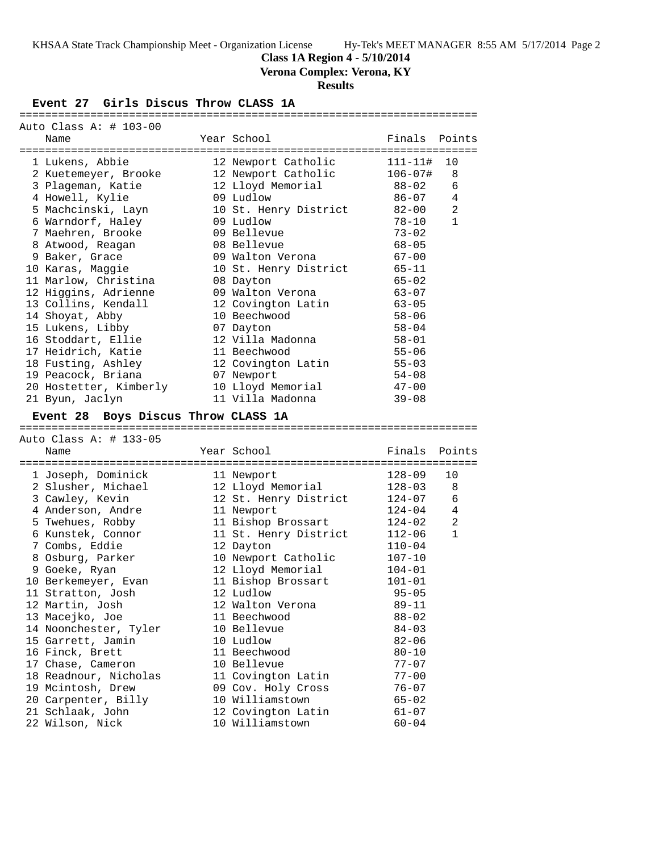**Class 1A Region 4 - 5/10/2014**

**Verona Complex: Verona, KY**

## **Results**

## **Event 27 Girls Discus Throw CLASS 1A**

| Auto Class A: $\#$ 103-00           |                       |              |                |
|-------------------------------------|-----------------------|--------------|----------------|
| Name                                | Year School           | Finals       | Points         |
|                                     |                       |              |                |
| 1 Lukens, Abbie                     | 12 Newport Catholic   | $111 - 11#$  | 10             |
| 2 Kuetemeyer, Brooke                | 12 Newport Catholic   | $106 - 07$ # | 8              |
| 3 Plageman, Katie                   | 12 Lloyd Memorial     | $88 - 02$    | 6              |
| 4 Howell, Kylie                     | 09 Ludlow             | 86-07        | 4              |
| 5 Machcinski, Layn                  | 10 St. Henry District | $82 - 00$    | 2              |
| 6 Warndorf, Haley                   | 09 Ludlow             | $78 - 10$    | $\mathbf{1}$   |
| 7 Maehren, Brooke                   | 09 Bellevue           | $73 - 02$    |                |
| 8 Atwood, Reagan                    | 08 Bellevue           | $68 - 05$    |                |
| 9 Baker, Grace                      | 09 Walton Verona      | $67 - 00$    |                |
| 10 Karas, Maggie                    | 10 St. Henry District | $65 - 11$    |                |
| 11 Marlow, Christina                | 08 Dayton             | $65 - 02$    |                |
| 12 Higgins, Adrienne                | 09 Walton Verona      | $63 - 07$    |                |
| 13 Collins, Kendall                 | 12 Covington Latin    | $63 - 05$    |                |
| 14 Shoyat, Abby                     | 10 Beechwood          | $58 - 06$    |                |
| 15 Lukens, Libby                    | 07 Dayton             | $58 - 04$    |                |
| 16 Stoddart, Ellie                  | 12 Villa Madonna      | $58 - 01$    |                |
| 17 Heidrich, Katie                  | 11 Beechwood          | $55 - 06$    |                |
| 18 Fusting, Ashley                  | 12 Covington Latin    | $55 - 03$    |                |
| 19 Peacock, Briana                  | 07 Newport            | $54 - 08$    |                |
| 20 Hostetter, Kimberly              | 10 Lloyd Memorial     | $47 - 00$    |                |
| 21 Byun, Jaclyn                     | 11 Villa Madonna      | $39 - 08$    |                |
|                                     |                       |              |                |
| Event 28 Boys Discus Throw CLASS 1A |                       |              |                |
|                                     |                       |              |                |
|                                     |                       |              |                |
| Auto Class A: # 133-05              |                       |              |                |
| Name                                | Year School           | Finals       | Points         |
|                                     |                       |              |                |
| 1 Joseph, Dominick                  | 11 Newport            | $128 - 09$   | 10             |
| 2 Slusher, Michael                  | 12 Lloyd Memorial     | $128 - 03$   | 8              |
| 3 Cawley, Kevin                     | 12 St. Henry District | 124-07       | 6              |
| 4 Anderson, Andre                   | 11 Newport            | 124-04       | 4              |
| 5 Twehues, Robby                    | 11 Bishop Brossart    | 124-02       | $\overline{a}$ |
| 6 Kunstek, Connor                   | 11 St. Henry District | 112-06       | $\mathbf{1}$   |
| 7 Combs, Eddie                      | 12 Dayton             | $110 - 04$   |                |
| 8 Osburg, Parker                    | 10 Newport Catholic   | $107 - 10$   |                |
| 9 Goeke, Ryan                       | 12 Lloyd Memorial     | 104-01       |                |
| 10 Berkemeyer, Evan                 | 11 Bishop Brossart    | $101 - 01$   |                |
| 11 Stratton, Josh                   | 12 Ludlow             | $95 - 05$    |                |
| 12 Martin, Josh                     | 12 Walton Verona      | $89 - 11$    |                |
| 13 Macejko, Joe                     | 11 Beechwood          | $88 - 02$    |                |
| 14 Noonchester, Tyler               | 10 Bellevue           | $84 - 03$    |                |
| 15 Garrett, Jamin                   | 10 Ludlow             | $82 - 06$    |                |
| 16 Finck, Brett                     | 11 Beechwood          | $80 - 10$    |                |
| 17 Chase, Cameron                   | 10 Bellevue           | $77 - 07$    |                |
| 18 Readnour, Nicholas               | 11 Covington Latin    | $77 - 00$    |                |
| 19 Mcintosh, Drew                   | 09 Cov. Holy Cross    | $76 - 07$    |                |
| 20 Carpenter, Billy                 | 10 Williamstown       | $65 - 02$    |                |
| 21 Schlaak, John<br>22 Wilson, Nick | 12 Covington Latin    | $61 - 07$    |                |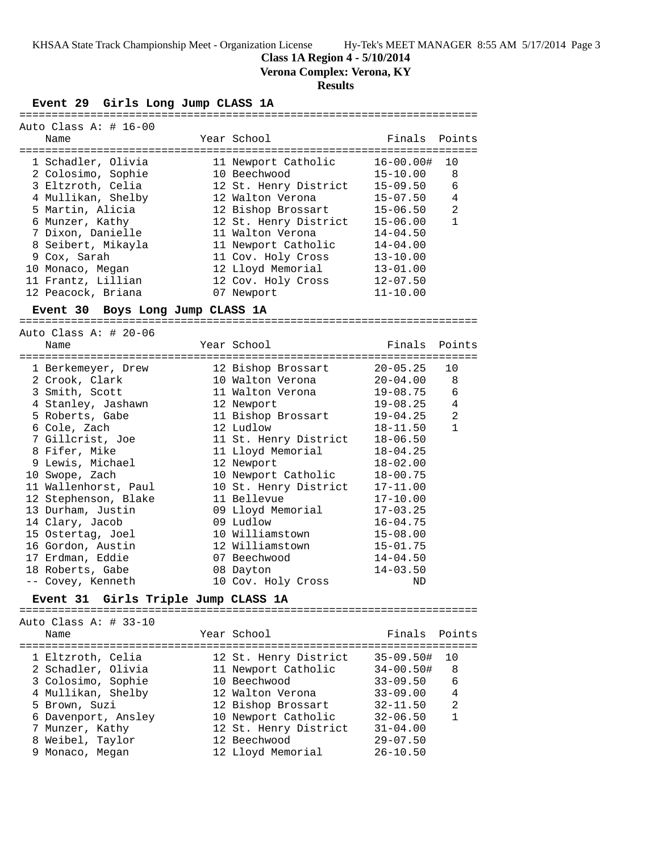**Class 1A Region 4 - 5/10/2014**

**Verona Complex: Verona, KY**

## **Results**

#### **Event 29 Girls Long Jump CLASS 1A**

| Auto Class A: $\#$ 16-00<br>Name | Year School           | Finals Points |                |
|----------------------------------|-----------------------|---------------|----------------|
| 1 Schadler, Olivia               | 11 Newport Catholic   | 16-00.00#     | 10             |
| 2 Colosimo, Sophie               | 10 Beechwood          | 15-10.00      | 8              |
| 3 Eltzroth, Celia                | 12 St. Henry District | $15 - 09.50$  | 6              |
| 4 Mullikan, Shelby               | 12 Walton Verona      | 15-07.50      | $\overline{4}$ |
| 5 Martin, Alicia                 | 12 Bishop Brossart    | 15-06.50      | 2              |
| 6 Munzer, Kathy                  | 12 St. Henry District | $15 - 06.00$  | $\mathbf{1}$   |
| 7 Dixon, Danielle                | 11 Walton Verona      | $14 - 04.50$  |                |
| 8 Seibert, Mikayla               | 11 Newport Catholic   | $14 - 04.00$  |                |
| 9 Cox, Sarah                     | 11 Cov. Holy Cross    | $13 - 10.00$  |                |
| 10 Monaco, Megan                 | 12 Lloyd Memorial     | $13 - 01.00$  |                |
| 11 Frantz, Lillian               | 12 Cov. Holy Cross    | $12 - 07.50$  |                |
| 12 Peacock, Briana               | 07 Newport            | $11 - 10.00$  |                |
|                                  |                       |               |                |

### **Event 30 Boys Long Jump CLASS 1A**

======================================================================= Auto Class A:  $\#$  20-06 Name Year School Finals Points

| nallic               | TEAT PCHOOT           | L THATP        | PUILLS       |
|----------------------|-----------------------|----------------|--------------|
| 1 Berkemeyer, Drew   | 12 Bishop Brossart    | $20 - 05.25$   | 10           |
| 2 Crook, Clark       | 10 Walton Verona      | $20 - 04.00$ 8 |              |
| 3 Smith, Scott       | 11 Walton Verona      | 19-08.75       | 6            |
| 4 Stanley, Jashawn   | 12 Newport            | 19-08.25       | 4            |
| 5 Roberts, Gabe      | 11 Bishop Brossart    | 19-04.25       | 2            |
| 6 Cole, Zach         | 12 Ludlow             | 18-11.50       | $\mathbf{1}$ |
| 7 Gillcrist, Joe     | 11 St. Henry District | $18 - 06.50$   |              |
| 8 Fifer, Mike        | 11 Lloyd Memorial     | $18 - 04.25$   |              |
| 9 Lewis, Michael     | 12 Newport            | $18 - 02.00$   |              |
| 10 Swope, Zach       | 10 Newport Catholic   | $18 - 00.75$   |              |
| 11 Wallenhorst, Paul | 10 St. Henry District | $17 - 11.00$   |              |
| 12 Stephenson, Blake | 11 Bellevue           | $17 - 10.00$   |              |
| 13 Durham, Justin    | 09 Lloyd Memorial     | $17 - 03.25$   |              |
| 14 Clary, Jacob      | 09 Ludlow             | $16 - 04.75$   |              |
| 15 Ostertag, Joel    | 10 Williamstown       | $15 - 08.00$   |              |
| 16 Gordon, Austin    | 12 Williamstown       | $15 - 01.75$   |              |
| 17 Erdman, Eddie     | 07 Beechwood          | $14 - 04.50$   |              |
| 18 Roberts, Gabe     | 08 Dayton             | $14 - 03.50$   |              |
| -- Covey, Kenneth    | 10 Cov. Holy Cross    | ND             |              |
|                      |                       |                |              |

## **Event 31 Girls Triple Jump CLASS 1A**

Auto Class A: # 33-10

=======================================================================

| Name                                     | Year School                         | Finals Points                  |                |
|------------------------------------------|-------------------------------------|--------------------------------|----------------|
| 1 Eltzroth, Celia                        | 12 St. Henry District               | $35 - 09.50$ #                 | 10             |
| 2 Schadler, Olivia<br>3 Colosimo, Sophie | 11 Newport Catholic<br>10 Beechwood | $34 - 00.50$ #<br>$33 - 09.50$ | 8<br>6         |
| 4 Mullikan, Shelby                       | 12 Walton Verona                    | $33 - 09.00$                   | 4              |
| 5 Brown, Suzi                            | 12 Bishop Brossart                  | $32 - 11.50$                   | $\mathfrak{D}$ |
| 6 Davenport, Ansley                      | 10 Newport Catholic                 | $32 - 06.50$                   |                |
| 7 Munzer, Kathy                          | 12 St. Henry District               | $31 - 04.00$                   |                |
| 8 Weibel, Taylor                         | 12 Beechwood                        | $29 - 07.50$                   |                |
| 9 Monaco, Megan                          | 12 Lloyd Memorial                   | $26 - 10.50$                   |                |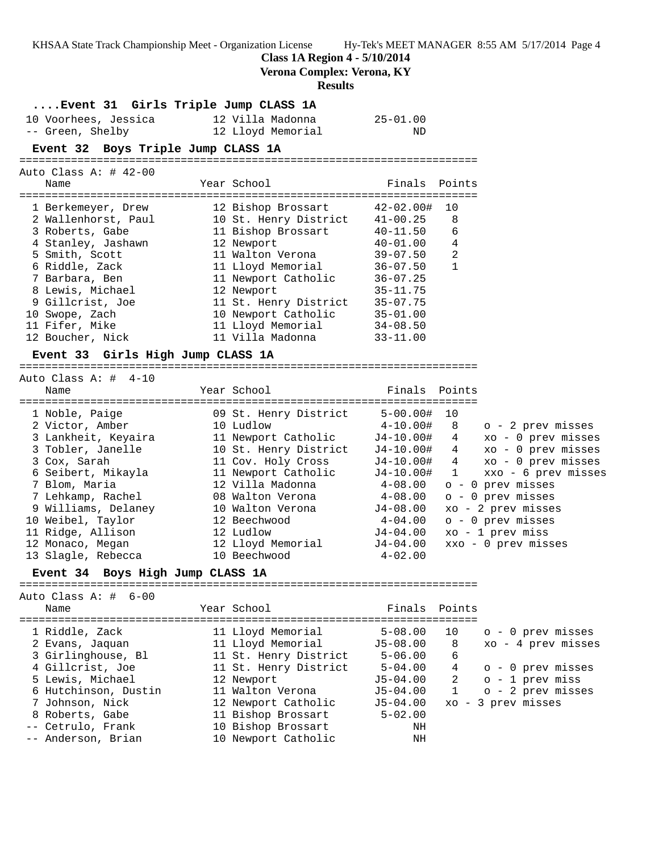**Class 1A Region 4 - 5/10/2014**

**Verona Complex: Verona, KY**

#### **Results**

## **....Event 31 Girls Triple Jump CLASS 1A**

| 10 Voorhees, Jessica | 12 Villa Madonna  | 25-01.00 |
|----------------------|-------------------|----------|
| -- Green, Shelby     | 12 Lloyd Memorial | ND       |

## **Event 32 Boys Triple Jump CLASS 1A**

=======================================================================

| Auto Class A: $\#$ 42-00 |                       |               |              |
|--------------------------|-----------------------|---------------|--------------|
| Name                     | Year School           | Finals Points |              |
|                          |                       |               |              |
| 1 Berkemeyer, Drew       | 12 Bishop Brossart    | 42-02.00#     | 10           |
| 2 Wallenhorst, Paul      | 10 St. Henry District | $41 - 00.25$  | 8            |
| 3 Roberts, Gabe          | 11 Bishop Brossart    | $40 - 11.50$  | 6            |
| 4 Stanley, Jashawn       | 12 Newport            | $40 - 01.00$  | 4            |
| 5 Smith, Scott           | 11 Walton Verona      | $39 - 07.50$  | 2            |
| 6 Riddle, Zack           | 11 Lloyd Memorial     | $36 - 07.50$  | $\mathbf{1}$ |
| 7 Barbara, Ben           | 11 Newport Catholic   | $36 - 07.25$  |              |
| 8 Lewis, Michael         | 12 Newport            | $35 - 11.75$  |              |
| 9 Gillcrist, Joe         | 11 St. Henry District | $35 - 07.75$  |              |
| 10 Swope, Zach           | 10 Newport Catholic   | $35 - 01.00$  |              |
| 11 Fifer, Mike           | 11 Lloyd Memorial     | $34 - 08.50$  |              |
| 12 Boucher, Nick         | 11 Villa Madonna      | $33 - 11.00$  |              |

#### **Event 33 Girls High Jump CLASS 1A**

=======================================================================

| Year School           | Finals Points |                                     |
|-----------------------|---------------|-------------------------------------|
|                       |               |                                     |
| 09 St. Henry District | $5 - 00.00$ # | 10                                  |
| 10 Ludlow             | 4-10.00#      | o - 2 prev misses<br>-8             |
| 11 Newport Catholic   | J4-10.00#     | xo - 0 prev misses<br>4             |
| 10 St. Henry District | $J4 - 10.00#$ | $xo - 0$ prev misses<br>4           |
| 11 Cov. Holy Cross    | $J4-10.00#$   | $xo - 0$ prev misses<br>4           |
| 11 Newport Catholic   | $J4 - 10.00#$ | xxo - 6 prev misses<br>$\mathbf{1}$ |
| 12 Villa Madonna      | $4 - 08.00$   | $o - 0$ prev misses                 |
| 08 Walton Verona      | $4 - 08.00$   | $o - 0$ prev misses                 |
| 10 Walton Verona      | J4-08.00      | $xo - 2 prev$ misses                |
| 12 Beechwood          | $4 - 04.00$   | o - 0 prev misses                   |
| 12 Ludlow             | $J4 - 04.00$  | $xo - 1 prev miss$                  |
| 12 Lloyd Memorial     | $J4 - 04.00$  | $xxo - 0$ prev misses               |
| 10 Beechwood          | $4 - 02.00$   |                                     |
|                       |               |                                     |

### **Event 34 Boys High Jump CLASS 1A**

Auto Class A: # 6-00

=======================================================================

| Name                                                                                                                                                       |                                            | Year School                                                                                                                                                                                                          |                                                                                                                          | Finals Points                     |                                                                                                                                   |
|------------------------------------------------------------------------------------------------------------------------------------------------------------|--------------------------------------------|----------------------------------------------------------------------------------------------------------------------------------------------------------------------------------------------------------------------|--------------------------------------------------------------------------------------------------------------------------|-----------------------------------|-----------------------------------------------------------------------------------------------------------------------------------|
| 1 Riddle, Zack<br>2 Evans, Jaquan<br>4 Gillcrist, Joe<br>5 Lewis, Michael<br>7 Johnson, Nick<br>8 Roberts, Gabe<br>-- Cetrulo, Frank<br>-- Anderson, Brian | 3 Girlinghouse, Bl<br>6 Hutchinson, Dustin | 11 Lloyd Memorial<br>11 Lloyd Memorial<br>11 St. Henry District<br>11 St. Henry District<br>12 Newport<br>11 Walton Verona<br>12 Newport Catholic<br>11 Bishop Brossart<br>10 Bishop Brossart<br>10 Newport Catholic | $5 - 08.00$<br>J5-08.00<br>$5 - 06.00$<br>$5 - 04.00$<br>$J5 - 04.00$<br>J5-04.00<br>J5-04.00<br>$5 - 02.00$<br>ΝH<br>ΝH | 10<br>8<br>6<br>4<br>$\mathbf{1}$ | o - 0 prev misses<br>xo - 4 prev misses<br>o - 0 prev misses<br>$2 \circ -1$ prev miss<br>o - 2 prev misses<br>xo - 3 prev misses |
|                                                                                                                                                            |                                            |                                                                                                                                                                                                                      |                                                                                                                          |                                   |                                                                                                                                   |